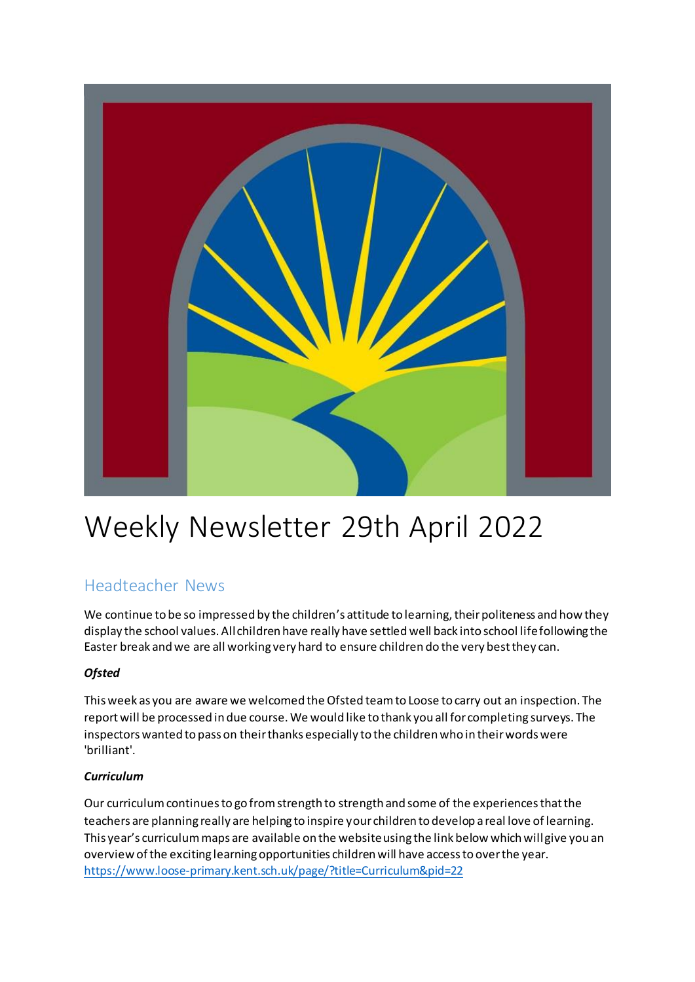

# Weekly Newsletter 29th April 2022

# Headteacher News

We continue to be so impressed by the children's attitude to learning, their politeness and how they display the school values. All children have really have settled well back into school life following the Easter break and we are all working very hard to ensure children do the very best they can.

## *Ofsted*

This week as you are aware we welcomed the Ofsted team to Loose to carry out an inspection. The report will be processed in due course. We would like to thank you all for completing surveys. The inspectors wanted to pass on their thanks especially to the children who in their words were 'brilliant'.

## *Curriculum*

Our curriculum continues to go from strength to strength and some of the experiences that the teachers are planning really are helping to inspire your children to develop a real love of learning. This year's curriculum maps are available on the website using the link below which will give you an overview of the exciting learning opportunities children will have access to over the year. <https://www.loose-primary.kent.sch.uk/page/?title=Curriculum&pid=22>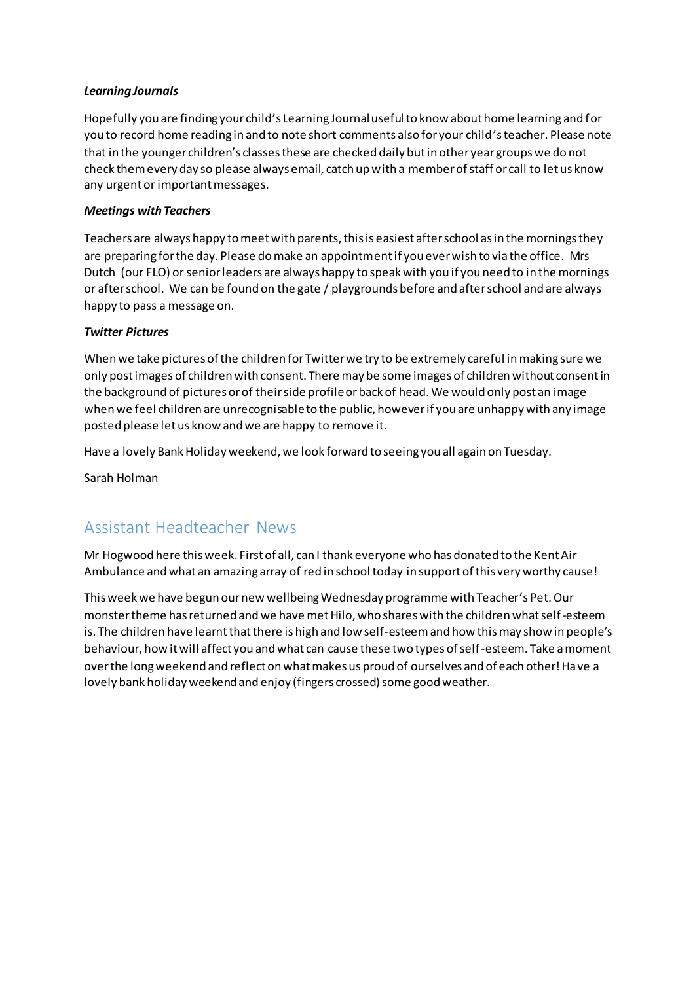#### *Learning Journals*

Hopefully you are finding your child's Learning Journal useful to know about home learning and for you to record home reading in and to note short comments also for your child's teacher. Please note that in the younger children's classes these are checked daily but in other year groups we do not check them every day so please always email, catch up with a member of staff or call to let us know any urgent or important messages.

#### *Meetings with Teachers*

Teachers are always happy to meet with parents, this is easiest after school as in the mornings they are preparing for the day. Please do make an appointment if you ever wish to via the office. Mrs Dutch (our FLO) or senior leaders are always happy to speak with you if you need to in the mornings or after school. We can be found on the gate / playgrounds before and after school and are always happy to pass a message on.

#### *Twitter Pictures*

When we take pictures of the children for Twitter we try to be extremely careful in making sure we only post images of children with consent. There may be some images of children without consent in the background of pictures or of their side profile or back of head. We would only post an image when we feel children are unrecognisable to the public, however if you are unhappy with any image posted please let us know and we are happy to remove it.

Have a lovely Bank Holiday weekend, we look forward to seeing you all again on Tuesday.

Sarah Holman

## Assistant Headteacher News

Mr Hogwood here this week. First of all, can I thank everyone who has donated to the Kent Air Ambulance and what an amazing array of red in school today in support of this very worthy cause!

This week we have begun our new wellbeing Wednesday programme with Teacher's Pet. Our monster theme has returned and we have met Hilo, who shares with the children what self-esteem is. The children have learnt that there is high and low self-esteem and how this may show in people's behaviour, how it will affect you and what can cause these two types of self-esteem. Take a moment over the long weekend and reflect on what makes us proud of ourselves and of each other! Have a lovely bank holiday weekend and enjoy (fingers crossed) some good weather.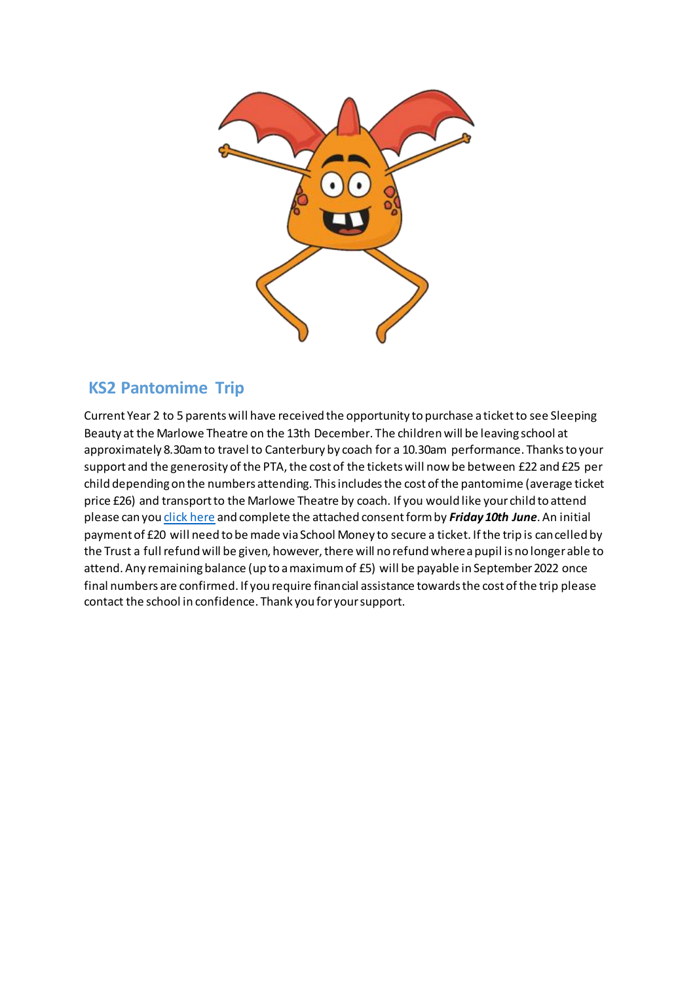

## **KS2 Pantomime Trip**

Current Year 2 to 5 parents will have received the opportunity to purchase a ticket to see Sleeping Beauty at the Marlowe Theatre on the 13th December. The children will be leaving school at approximately 8.30am to travel to Canterbury by coach for a 10.30am performance. Thanks to your support and the generosity of the PTA, the cost of the tickets will now be between £22 and £25 per child depending on the numbers attending. This includes the cost of the pantomime (average ticket price £26) and transport to the Marlowe Theatre by coach. If you would like your child to attend please can you *click here* and complete the attached consent form by *Friday 10th June*. An initial payment of £20 will need to be made via School Money to secure a ticket. If the trip is cancelled by the Trust a full refund will be given, however, there will no refund where a pupil is no longer able to attend. Any remaining balance (up to a maximum of £5) will be payable in September 2022 once final numbers are confirmed. If you require financial assistance towards the cost of the trip please contact the school in confidence. Thank you for your support.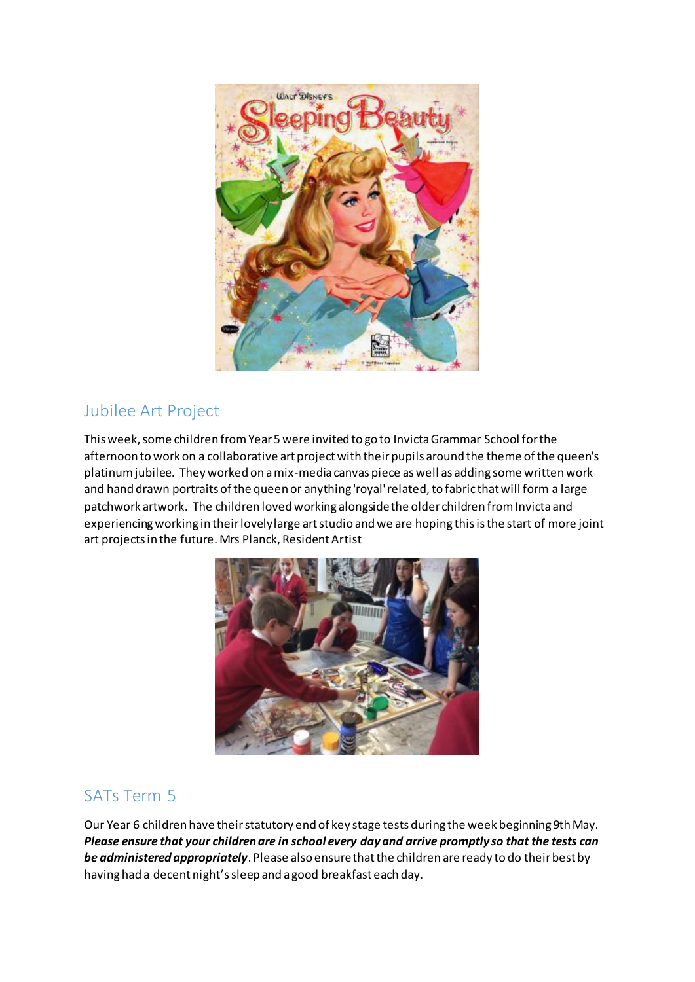

# Jubilee Art Project

This week, some children from Year 5 were invited to go to Invicta Grammar School for the afternoon to work on a collaborative art project with their pupils around the theme of the queen's platinum jubilee. They worked on a mix-media canvas piece as well as adding some written work and hand drawn portraits of the queen or anything 'royal' related, to fabric that will form a large patchwork artwork. The children loved working alongside the older children from Invicta and experiencing working in their lovely large art studio and we are hoping this is the start of more joint art projects in the future. Mrs Planck, Resident Artist



# SATs Term 5

Our Year 6 children have their statutory end of key stage tests during the week beginning 9th May. *Please ensure that your children are in school every day and arrive promptly so that the tests can be administered appropriately*. Please also ensure that the children are ready to do their best by having had a decent night's sleep and a good breakfast each day.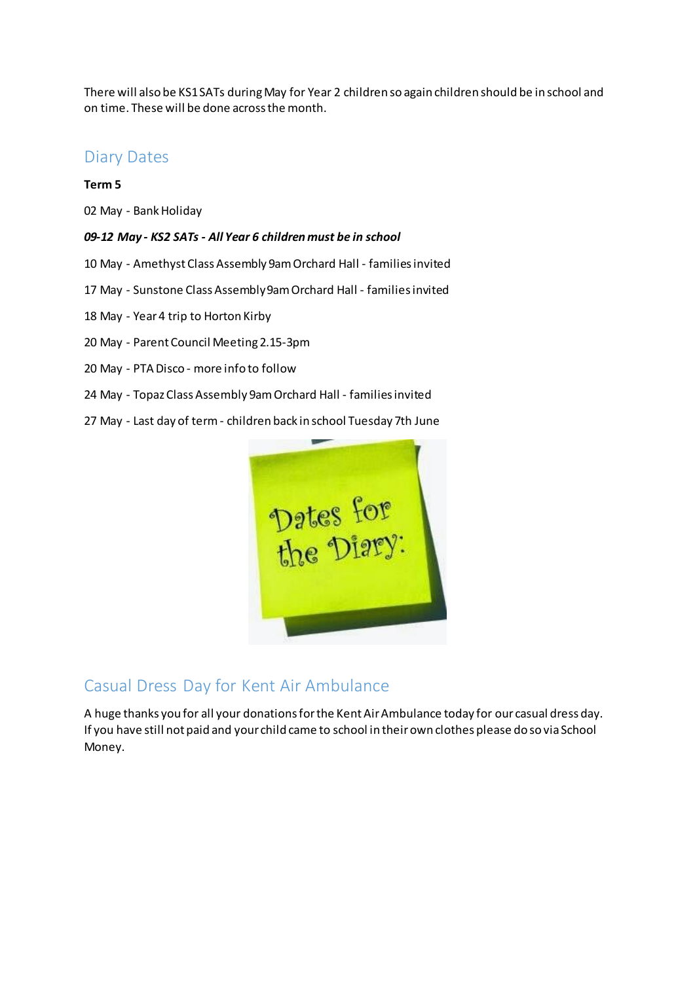There will also be KS1 SATs during May for Year 2 children so again children should be in school and on time. These will be done across the month.

## Diary Dates

#### **Term 5**

02 May - Bank Holiday

#### *09-12 May - KS2 SATs - All Year 6 children must be in school*

- 10 May Amethyst Class Assembly 9am Orchard Hall families invited
- 17 May Sunstone Class Assembly 9am Orchard Hall families invited
- 18 May Year 4 trip to Horton Kirby
- 20 May Parent Council Meeting 2.15-3pm
- 20 May PTA Disco more info to follow
- 24 May Topaz Class Assembly 9am Orchard Hall families invited
- 27 May Last day of term children back in school Tuesday 7th June



## Casual Dress Day for Kent Air Ambulance

A huge thanks you for all your donations for the Kent Air Ambulance today for our casual dress day. If you have still not paid and your child came to school in their own clothes please do so via School Money.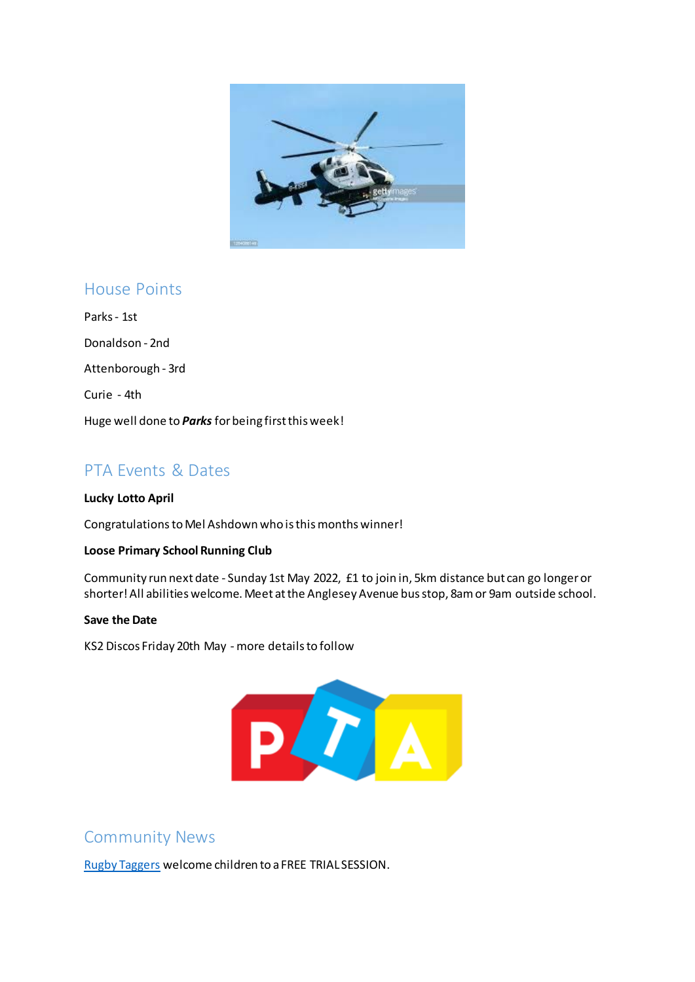

## House Points

Parks - 1st Donaldson - 2nd Attenborough - 3rd Curie - 4th Huge well done to *Parks* for being first this week!

# PTA Events & Dates

#### **Lucky Lotto April**

Congratulationsto Mel Ashdown who is this months winner!

#### **Loose Primary School Running Club**

Community run next date - Sunday 1st May 2022, £1 to join in, 5km distance but can go longer or shorter! All abilities welcome. Meet at the Anglesey Avenue bus stop, 8am or 9am outside school.

#### **Save the Date**

KS2 Discos Friday 20th May - more details to follow



## Community News

[Rugby Taggers](https://rugbytaggers.com/) welcome children to a FREE TRIAL SESSION.